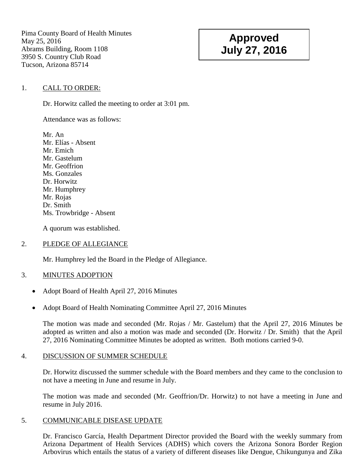Pima County Board of Health Minutes May 25, 2016 Abrams Building, Room 1108 3950 S. Country Club Road Tucson, Arizona 85714

# **Approved July 27, 2016**

### 1. CALL TO ORDER:

Dr. Horwitz called the meeting to order at 3:01 pm.

Attendance was as follows:

Mr. An Mr. Elías - Absent Mr. Emich Mr. Gastelum Mr. Geoffrion Ms. Gonzales Dr. Horwitz Mr. Humphrey Mr. Rojas Dr. Smith Ms. Trowbridge - Absent

A quorum was established.

#### 2. PLEDGE OF ALLEGIANCE

Mr. Humphrey led the Board in the Pledge of Allegiance.

#### 3. MINUTES ADOPTION

- Adopt Board of Health April 27, 2016 Minutes
- Adopt Board of Health Nominating Committee April 27, 2016 Minutes

The motion was made and seconded (Mr. Rojas / Mr. Gastelum) that the April 27, 2016 Minutes be adopted as written and also a motion was made and seconded (Dr. Horwitz / Dr. Smith) that the April 27, 2016 Nominating Committee Minutes be adopted as written. Both motions carried 9-0.

#### 4. DISCUSSION OF SUMMER SCHEDULE

Dr. Horwitz discussed the summer schedule with the Board members and they came to the conclusion to not have a meeting in June and resume in July.

The motion was made and seconded (Mr. Geoffrion/Dr. Horwitz) to not have a meeting in June and resume in July 2016.

#### 5. COMMUNICABLE DISEASE UPDATE

Dr. Francisco García, Health Department Director provided the Board with the weekly summary from Arizona Department of Health Services (ADHS) which covers the Arizona Sonora Border Region Arbovirus which entails the status of a variety of different diseases like Dengue, Chikungunya and Zika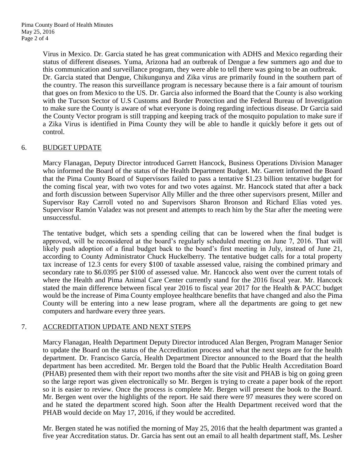Virus in Mexico. Dr. Garcia stated he has great communication with ADHS and Mexico regarding their status of different diseases. Yuma, Arizona had an outbreak of Dengue a few summers ago and due to this communication and surveillance program, they were able to tell there was going to be an outbreak. Dr. Garcia stated that Dengue, Chikungunya and Zika virus are primarily found in the southern part of the country. The reason this surveillance program is necessary because there is a fair amount of tourism that goes on from Mexico to the US. Dr. Garcia also informed the Board that the County is also working with the Tucson Sector of U.S Customs and Border Protection and the Federal Bureau of Investigation to make sure the County is aware of what everyone is doing regarding infectious disease. Dr Garcia said the County Vector program is still trapping and keeping track of the mosquito population to make sure if a Zika Virus is identified in Pima County they will be able to handle it quickly before it gets out of control.

## 6. BUDGET UPDATE

Marcy Flanagan, Deputy Director introduced Garrett Hancock, Business Operations Division Manager who informed the Board of the status of the Health Department Budget. Mr. Garrett informed the Board that the Pima County Board of Supervisors failed to pass a tentative \$1.23 billion tentative budget for the coming fiscal year, with two votes for and two votes against. Mr. Hancock stated that after a back and forth discussion between Supervisor Ally Miller and the three other supervisors present, Miller and Supervisor Ray Carroll voted no and Supervisors Sharon Bronson and Richard Elías voted yes. Supervisor Ramón Valadez was not present and attempts to reach him by the Star after the meeting were unsuccessful.

The tentative budget, which sets a spending ceiling that can be lowered when the final budget is approved, will be reconsidered at the board"s regularly scheduled meeting on June 7, 2016. That will likely push adoption of a final budget back to the board's first meeting in July, instead of June 21, according to County Administrator Chuck Huckelberry. The tentative budget calls for a total property tax increase of 12.3 cents for every \$100 of taxable assessed value, raising the combined primary and secondary rate to \$6.0395 per \$100 of assessed value. Mr. Hancock also went over the current totals of where the Health and Pima Animal Care Center currently stand for the 2016 fiscal year. Mr. Hancock stated the main difference between fiscal year 2016 to fiscal year 2017 for the Health & PACC budget would be the increase of Pima County employee healthcare benefits that have changed and also the Pima County will be entering into a new lease program, where all the departments are going to get new computers and hardware every three years.

#### 7. ACCREDITATION UPDATE AND NEXT STEPS

Marcy Flanagan, Health Department Deputy Director introduced Alan Bergen, Program Manager Senior to update the Board on the status of the Accreditation process and what the next steps are for the health department. Dr. Francisco García, Health Department Director announced to the Board that the health department has been accredited. Mr. Bergen told the Board that the Public Health Accreditation Board (PHAB) presented them with their report two months after the site visit and PHAB is big on going green so the large report was given electronically so Mr. Bergen is trying to create a paper book of the report so it is easier to review. Once the process is complete Mr. Bergen will present the book to the Board. Mr. Bergen went over the highlights of the report. He said there were 97 measures they were scored on and he stated the department scored high. Soon after the Health Department received word that the PHAB would decide on May 17, 2016, if they would be accredited.

Mr. Bergen stated he was notified the morning of May 25, 2016 that the health department was granted a five year Accreditation status. Dr. Garcia has sent out an email to all health department staff, Ms. Lesher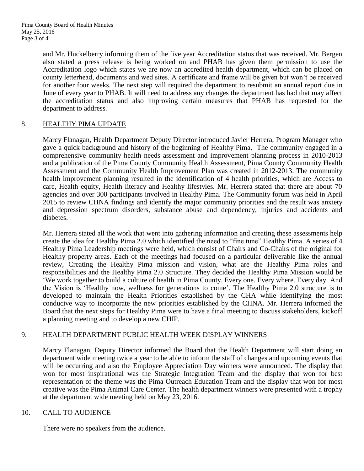and Mr. Huckelberry informing them of the five year Accreditation status that was received. Mr. Bergen also stated a press release is being worked on and PHAB has given them permission to use the Accreditation logo which states we are now an accredited health department, which can be placed on county letterhead, documents and wed sites. A certificate and frame will be given but won"t be received for another four weeks. The next step will required the department to resubmit an annual report due in June of every year to PHAB. It will need to address any changes the department has had that may affect the accreditation status and also improving certain measures that PHAB has requested for the department to address.

## 8. HEALTHY PIMA UPDATE

Marcy Flanagan, Health Department Deputy Director introduced Javier Herrera, Program Manager who gave a quick background and history of the beginning of Healthy Pima. The community engaged in a comprehensive community health needs assessment and improvement planning process in 2010-2013 and a publication of the Pima County Community Health Assessment, Pima County Community Health Assessment and the Community Health Improvement Plan was created in 2012-2013. The community health improvement planning resulted in the identification of 4 health priorities, which are Access to care, Health equity, Health literacy and Healthy lifestyles. Mr. Herrera stated that there are about 70 agencies and over 300 participants involved in Healthy Pima. The Community forum was held in April 2015 to review CHNA findings and identify the major community priorities and the result was anxiety and depression spectrum disorders, substance abuse and dependency, injuries and accidents and diabetes.

Mr. Herrera stated all the work that went into gathering information and creating these assessments help create the idea for Healthy Pima 2.0 which identified the need to "fine tune" Healthy Pima. A series of 4 Healthy Pima Leadership meetings were held, which consist of Chairs and Co-Chairs of the original for Healthy property areas. Each of the meetings had focused on a particular deliverable like the annual review, Creating the Healthy Pima mission and vision, what are the Healthy Pima roles and responsibilities and the Healthy Pima 2.0 Structure. They decided the Healthy Pima Mission would be "We work together to build a culture of health in Pima County. Every one. Every where. Every day. And the Vision is "Healthy now, wellness for generations to come". The Healthy Pima 2.0 structure is to developed to maintain the Health Priorities established by the CHA while identifying the most conducive way to incorporate the new priorities established by the CHNA. Mr. Herrera informed the Board that the next steps for Healthy Pima were to have a final meeting to discuss stakeholders, kickoff a planning meeting and to develop a new CHIP.

#### 9. HEALTH DEPARTMENT PUBLIC HEALTH WEEK DISPLAY WINNERS

Marcy Flanagan, Deputy Director informed the Board that the Health Department will start doing an department wide meeting twice a year to be able to inform the staff of changes and upcoming events that will be occurring and also the Employee Appreciation Day winners were announced. The display that won for most inspirational was the Strategic Integration Team and the display that won for best representation of the theme was the Pima Outreach Education Team and the display that won for most creative was the Pima Animal Care Center. The health department winners were presented with a trophy at the department wide meeting held on May 23, 2016.

#### 10. CALL TO AUDIENCE

There were no speakers from the audience.